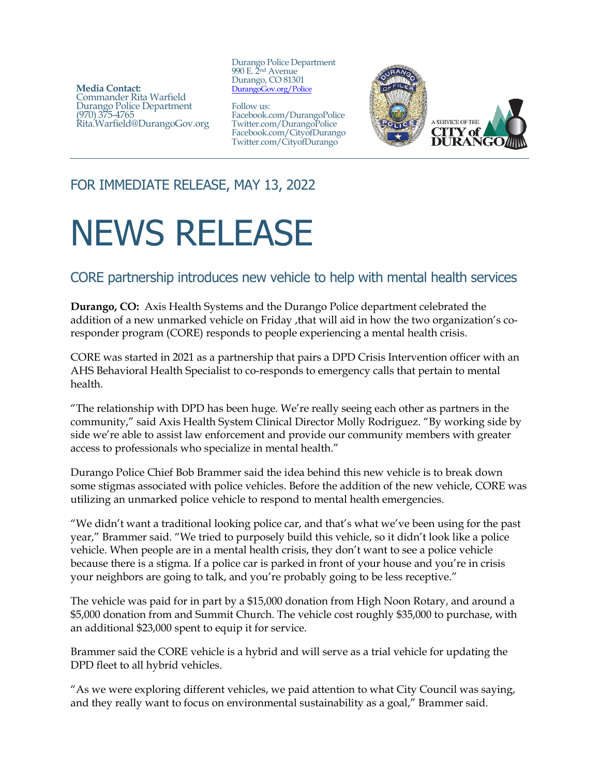**Media Contact:**  Commander Rita Warfield Durango Police Department (970) 375-4765 Rita.Warfield@DurangoGov.org Durango Police Department 990 E. 2nd Avenue Durango, CO 81301 [DurangoGov.org/Police](http://www.durangogov.org/police)

Follow us: Facebook.com/DurangoPolice Twitter.com/DurangoPolice Facebook.com/CityofDurango Twitter.com/CityofDurango



## FOR IMMEDIATE RELEASE, MAY 13, 2022

## NEWS RELEASE

## CORE partnership introduces new vehicle to help with mental health services

**Durango, CO:** Axis Health Systems and the Durango Police department celebrated the addition of a new unmarked vehicle on Friday ,that will aid in how the two organization's coresponder program (CORE) responds to people experiencing a mental health crisis.

CORE was started in 2021 as a partnership that pairs a DPD Crisis Intervention officer with an AHS Behavioral Health Specialist to co-responds to emergency calls that pertain to mental health.

"The relationship with DPD has been huge. We're really seeing each other as partners in the community," said Axis Health System Clinical Director Molly Rodriguez. "By working side by side we're able to assist law enforcement and provide our community members with greater access to professionals who specialize in mental health."

Durango Police Chief Bob Brammer said the idea behind this new vehicle is to break down some stigmas associated with police vehicles. Before the addition of the new vehicle, CORE was utilizing an unmarked police vehicle to respond to mental health emergencies.

"We didn't want a traditional looking police car, and that's what we've been using for the past year," Brammer said. "We tried to purposely build this vehicle, so it didn't look like a police vehicle. When people are in a mental health crisis, they don't want to see a police vehicle because there is a stigma. If a police car is parked in front of your house and you're in crisis your neighbors are going to talk, and you're probably going to be less receptive."

The vehicle was paid for in part by a \$15,000 donation from High Noon Rotary, and around a \$5,000 donation from and Summit Church. The vehicle cost roughly \$35,000 to purchase, with an additional \$23,000 spent to equip it for service.

Brammer said the CORE vehicle is a hybrid and will serve as a trial vehicle for updating the DPD fleet to all hybrid vehicles.

"As we were exploring different vehicles, we paid attention to what City Council was saying, and they really want to focus on environmental sustainability as a goal," Brammer said.